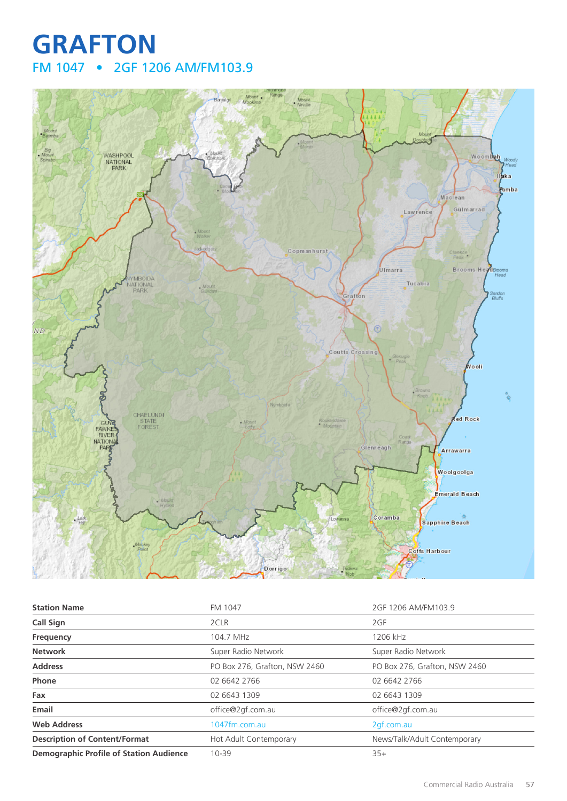## **GRAFTON** FM 1047 • 2GF 1206 AM/FM103.9



| <b>Station Name</b>                            | FM 1047                       | 2GF 1206 AM/FM103.9           |
|------------------------------------------------|-------------------------------|-------------------------------|
| <b>Call Sign</b>                               | 2CLR                          | 2GF                           |
| Frequency                                      | 104.7 MHz                     | 1206 kHz                      |
| <b>Network</b>                                 | Super Radio Network           | Super Radio Network           |
| <b>Address</b>                                 | PO Box 276, Grafton, NSW 2460 | PO Box 276, Grafton, NSW 2460 |
| Phone                                          | 02 6642 2766                  | 02 6642 2766                  |
| Fax                                            | 02 6643 1309                  | 02 6643 1309                  |
| Email                                          | office@2gf.com.au             | office@2gf.com.au             |
| <b>Web Address</b>                             | 1047fm.com.au                 | 2gf.com.au                    |
| <b>Description of Content/Format</b>           | Hot Adult Contemporary        | News/Talk/Adult Contemporary  |
| <b>Demographic Profile of Station Audience</b> | $10 - 39$                     | $35+$                         |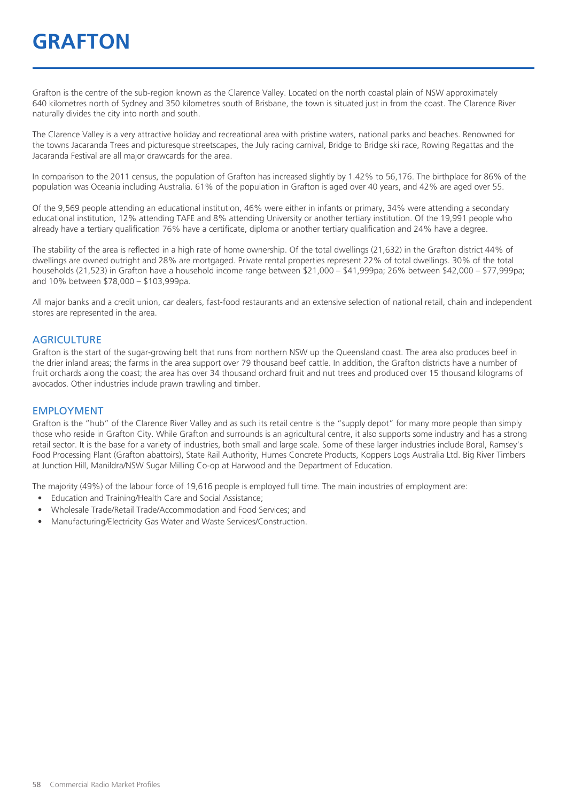Grafton is the centre of the sub-region known as the Clarence Valley. Located on the north coastal plain of NSW approximately 640 kilometres north of Sydney and 350 kilometres south of Brisbane, the town is situated just in from the coast. The Clarence River naturally divides the city into north and south.

The Clarence Valley is a very attractive holiday and recreational area with pristine waters, national parks and beaches. Renowned for the towns Jacaranda Trees and picturesque streetscapes, the July racing carnival, Bridge to Bridge ski race, Rowing Regattas and the Jacaranda Festival are all major drawcards for the area.

In comparison to the 2011 census, the population of Grafton has increased slightly by 1.42% to 56,176. The birthplace for 86% of the population was Oceania including Australia. 61% of the population in Grafton is aged over 40 years, and 42% are aged over 55.

Of the 9,569 people attending an educational institution, 46% were either in infants or primary, 34% were attending a secondary educational institution, 12% attending TAFE and 8% attending University or another tertiary institution. Of the 19,991 people who already have a tertiary qualification 76% have a certificate, diploma or another tertiary qualification and 24% have a degree.

The stability of the area is reflected in a high rate of home ownership. Of the total dwellings (21,632) in the Grafton district 44% of dwellings are owned outright and 28% are mortgaged. Private rental properties represent 22% of total dwellings. 30% of the total households (21,523) in Grafton have a household income range between \$21,000 – \$41,999pa; 26% between \$42,000 – \$77,999pa; and 10% between \$78,000 – \$103,999pa.

All major banks and a credit union, car dealers, fast-food restaurants and an extensive selection of national retail, chain and independent stores are represented in the area.

#### **AGRICULTURE**

Grafton is the start of the sugar-growing belt that runs from northern NSW up the Queensland coast. The area also produces beef in the drier inland areas; the farms in the area support over 79 thousand beef cattle. In addition, the Grafton districts have a number of fruit orchards along the coast; the area has over 34 thousand orchard fruit and nut trees and produced over 15 thousand kilograms of avocados. Other industries include prawn trawling and timber.

#### EMPLOYMENT

Grafton is the "hub" of the Clarence River Valley and as such its retail centre is the "supply depot" for many more people than simply those who reside in Grafton City. While Grafton and surrounds is an agricultural centre, it also supports some industry and has a strong retail sector. It is the base for a variety of industries, both small and large scale. Some of these larger industries include Boral, Ramsey's Food Processing Plant (Grafton abattoirs), State Rail Authority, Humes Concrete Products, Koppers Logs Australia Ltd. Big River Timbers at Junction Hill, Manildra/NSW Sugar Milling Co-op at Harwood and the Department of Education.

The majority (49%) of the labour force of 19,616 people is employed full time. The main industries of employment are:

- Education and Training/Health Care and Social Assistance;
- Wholesale Trade/Retail Trade/Accommodation and Food Services; and
- Manufacturing/Electricity Gas Water and Waste Services/Construction.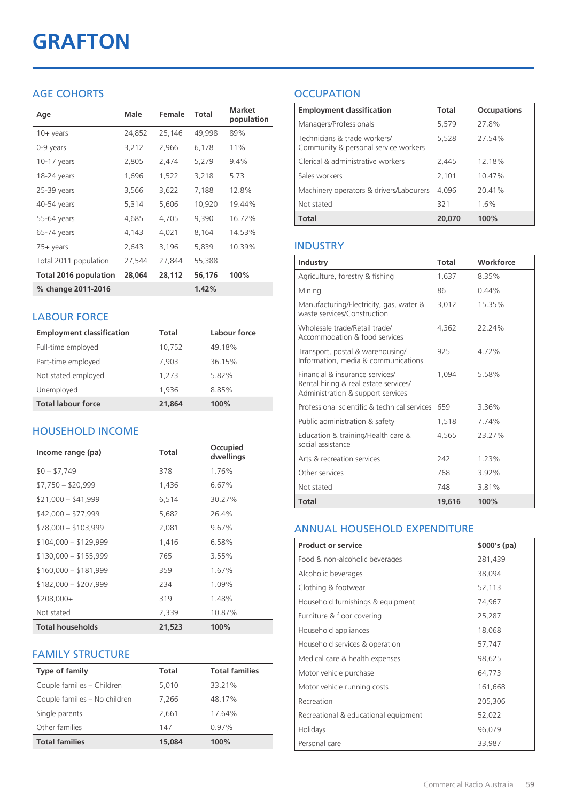# **GRAFTON**

## AGE COHORTS

| Age                   | Male   | Female | Total  | <b>Market</b><br>population |
|-----------------------|--------|--------|--------|-----------------------------|
| $10 + \gamma$ ears    | 24,852 | 25,146 | 49,998 | 89%                         |
| 0-9 years             | 3,212  | 2,966  | 6,178  | 11%                         |
| $10-17$ years         | 2,805  | 2,474  | 5,279  | 9.4%                        |
| 18-24 years           | 1,696  | 1,522  | 3,218  | 5.73                        |
| 25-39 years           | 3,566  | 3,622  | 7,188  | 12.8%                       |
| 40-54 years           | 5,314  | 5,606  | 10,920 | 19.44%                      |
| 55-64 years           | 4,685  | 4,705  | 9,390  | 16.72%                      |
| 65-74 years           | 4,143  | 4,021  | 8,164  | 14.53%                      |
| 75+ years             | 2,643  | 3,196  | 5,839  | 10.39%                      |
| Total 2011 population | 27,544 | 27,844 | 55,388 |                             |
| Total 2016 population | 28,064 | 28,112 | 56,176 | 100%                        |
| % change 2011-2016    |        |        | 1.42%  |                             |

#### LABOUR FORCE

| <b>Employment classification</b> | Total  | Labour force |
|----------------------------------|--------|--------------|
| Full-time employed               | 10,752 | 49.18%       |
| Part-time employed               | 7,903  | 36.15%       |
| Not stated employed              | 1.273  | 5.82%        |
| Unemployed                       | 1,936  | 8.85%        |
| <b>Total labour force</b>        | 21.864 | 100%         |

## HOUSEHOLD INCOME

| Income range (pa)       | Total  | Occupied<br>dwellings |
|-------------------------|--------|-----------------------|
| $$0 - $7,749$           | 378    | 1.76%                 |
| $$7,750 - $20,999$      | 1,436  | 6.67%                 |
| $$21,000 - $41,999$     | 6,514  | 30.27%                |
| $$42,000 - $77,999$     | 5,682  | 26.4%                 |
| $$78,000 - $103,999$    | 2,081  | 9.67%                 |
| $$104,000 - $129,999$   | 1,416  | 6.58%                 |
| $$130,000 - $155,999$   | 765    | 3.55%                 |
| $$160,000 - $181,999$   | 359    | 1.67%                 |
| $$182,000 - $207,999$   | 234    | 1.09%                 |
| \$208,000+              | 319    | 1.48%                 |
| Not stated              | 2,339  | 10.87%                |
| <b>Total households</b> | 21,523 | 100%                  |

## FAMILY STRUCTURE

| <b>Type of family</b>         | <b>Total</b> | <b>Total families</b> |
|-------------------------------|--------------|-----------------------|
| Couple families - Children    | 5.010        | 33.21%                |
| Couple families - No children | 7.266        | 48.17%                |
| Single parents                | 2.661        | 17.64%                |
| Other families                | 147          | $0.97\%$              |
| <b>Total families</b>         | 15,084       | 100%                  |

## **OCCUPATION**

| <b>Employment classification</b>                                     | <b>Total</b> | <b>Occupations</b> |
|----------------------------------------------------------------------|--------------|--------------------|
| Managers/Professionals                                               | 5,579        | 27.8%              |
| Technicians & trade workers/<br>Community & personal service workers | 5,528        | 27.54%             |
| Clerical & administrative workers                                    | 2.445        | 12.18%             |
| Sales workers                                                        | 2,101        | 10.47%             |
| Machinery operators & drivers/Labourers                              | 4.096        | 20.41%             |
| Not stated                                                           | 321          | 1.6%               |
| <b>Total</b>                                                         | 20,070       | 100%               |

#### INDUSTRY

| Industry                                                                                                      | Total  | Workforce |
|---------------------------------------------------------------------------------------------------------------|--------|-----------|
| Agriculture, forestry & fishing                                                                               | 1,637  | 8.35%     |
| Mining                                                                                                        | 86     | $0.44\%$  |
| Manufacturing/Electricity, gas, water &<br>waste services/Construction                                        | 3,012  | 15.35%    |
| Wholesale trade/Retail trade/<br>Accommodation & food services                                                | 4.362  | 22.24%    |
| Transport, postal & warehousing/<br>Information, media & communications                                       | 925    | 4.72%     |
| Financial & insurance services/<br>Rental hiring & real estate services/<br>Administration & support services | 1.094  | 5.58%     |
| Professional scientific & technical services                                                                  | 659    | 3.36%     |
| Public administration & safety                                                                                | 1,518  | 7.74%     |
| Education & training/Health care &<br>social assistance                                                       | 4.565  | 23.27%    |
| Arts & recreation services                                                                                    | 242    | 1.23%     |
| Other services                                                                                                | 768    | 3.92%     |
| Not stated                                                                                                    | 748    | 3.81%     |
| Total                                                                                                         | 19,616 | 100%      |

#### ANNUAL HOUSEHOLD EXPENDITURE

| <b>Product or service</b>            | $$000's$ (pa) |
|--------------------------------------|---------------|
| Food & non-alcoholic beverages       | 281,439       |
| Alcoholic beverages                  | 38,094        |
| Clothing & footwear                  | 52,113        |
| Household furnishings & equipment    | 74,967        |
| Furniture & floor covering           | 25,287        |
| Household appliances                 | 18,068        |
| Household services & operation       | 57,747        |
| Medical care & health expenses       | 98,625        |
| Motor vehicle purchase               | 64,773        |
| Motor vehicle running costs          | 161,668       |
| Recreation                           | 205,306       |
| Recreational & educational equipment | 52,022        |
| Holidays                             | 96,079        |
| Personal care                        | 33,987        |